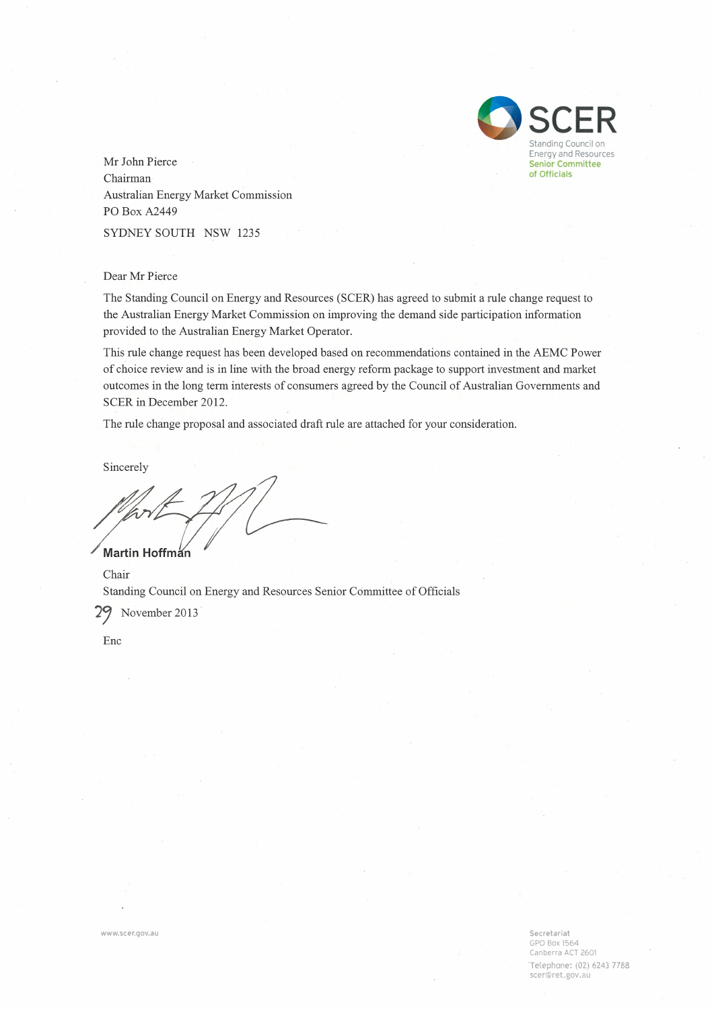

Mr John Pierce Chairman Australian Energy Market Commission PO Box A2449 SYDNEY SOUTH NSW 1235

#### Dear Mr Pierce

The Standing Council on Energy and Resources (SCER) has agreed to submit a rule change request to the Australian Energy Market Commission on improving the demand side participation information provided to the Australian Energy Market Operator.

This rule change request has been developed based on recommendations contained in the AEMC Power of choice review and is in line with the broad energy reform package to support investment and market outcomes in the long term interests of consumers agreed by the Council of Australian Governments and SCER in December 2012.

The rule change proposal and associated draft rule are attached for your consideration.

Sincerely

Martin Hoffman

Chair Standing Council on Energy and Resources Senior Committee of Officials

November 2013 29

Enc

www.scer.gov.au

Secretariat GPO Box 1564 Canberra ACT 2601 Telephone: (02) 6243 7788 scer@ret.gov.au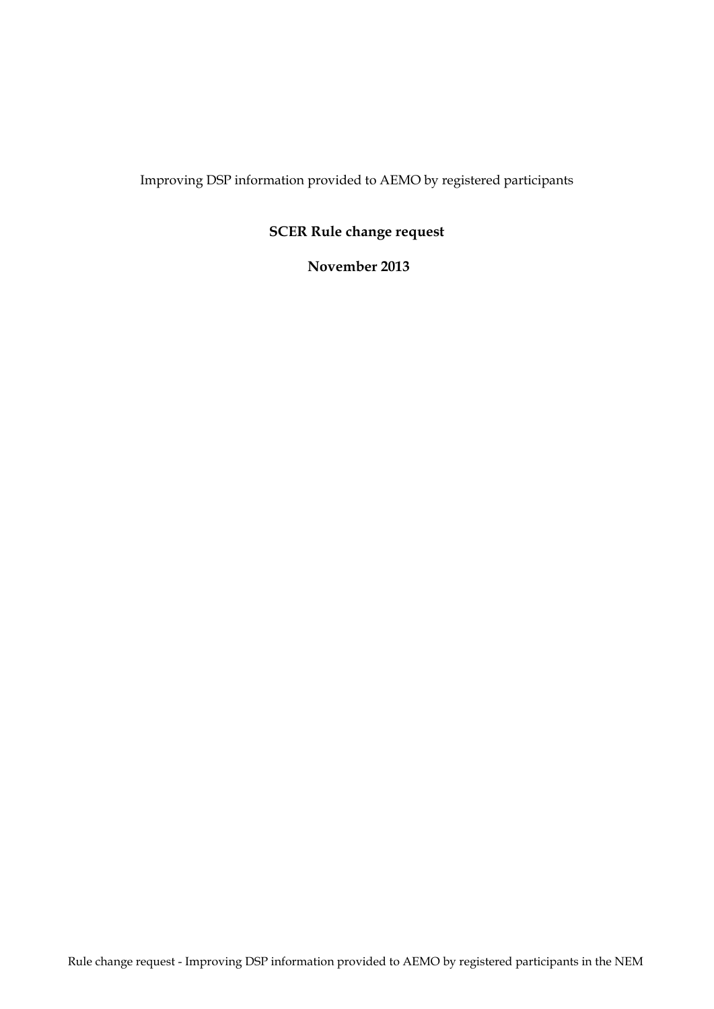Improving DSP information provided to AEMO by registered participants

# **SCER Rule change request**

#### **November 2013**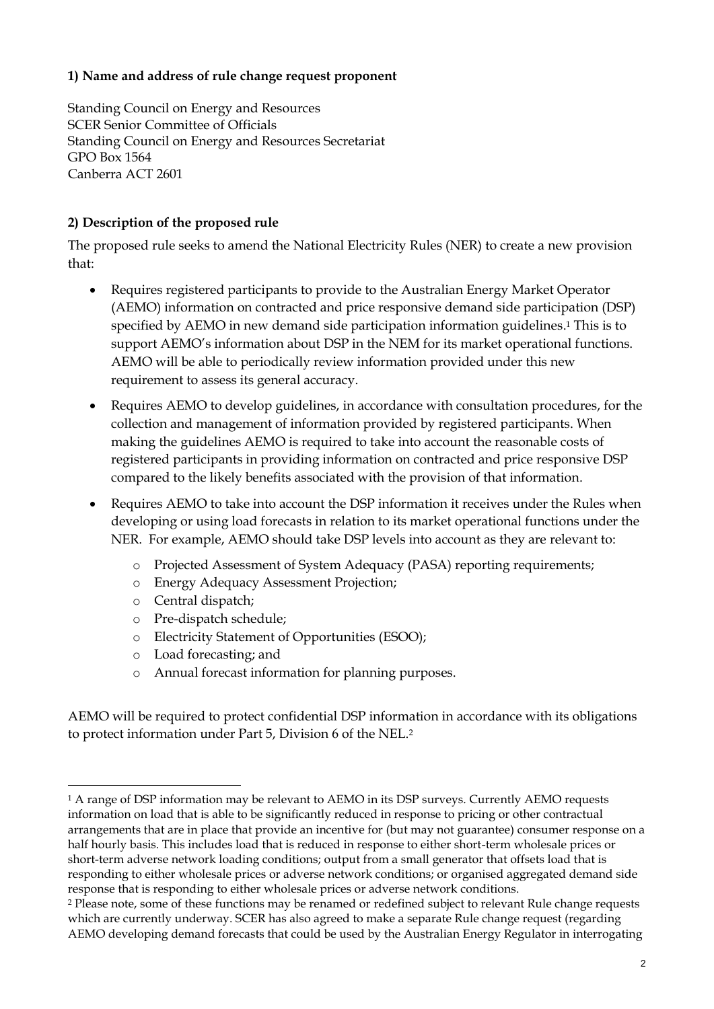#### **1) Name and address of rule change request proponent**

Standing Council on Energy and Resources SCER Senior Committee of Officials Standing Council on Energy and Resources Secretariat GPO Box 1564 Canberra ACT 2601

#### **2) Description of the proposed rule**

The proposed rule seeks to amend the National Electricity Rules (NER) to create a new provision that:

- Requires registered participants to provide to the Australian Energy Market Operator (AEMO) information on contracted and price responsive demand side participation (DSP) specified by AEMO in new demand side participation information guidelines. <sup>1</sup> This is to support AEMO's information about DSP in the NEM for its market operational functions. AEMO will be able to periodically review information provided under this new requirement to assess its general accuracy.
- Requires AEMO to develop guidelines, in accordance with consultation procedures, for the collection and management of information provided by registered participants. When making the guidelines AEMO is required to take into account the reasonable costs of registered participants in providing information on contracted and price responsive DSP compared to the likely benefits associated with the provision of that information.
- Requires AEMO to take into account the DSP information it receives under the Rules when developing or using load forecasts in relation to its market operational functions under the NER. For example, AEMO should take DSP levels into account as they are relevant to:
	- o Projected Assessment of System Adequacy (PASA) reporting requirements;
	- o Energy Adequacy Assessment Projection;
	- o Central dispatch;

<u>.</u>

- o Pre-dispatch schedule;
- o Electricity Statement of Opportunities (ESOO);
- o Load forecasting; and
- o Annual forecast information for planning purposes.

AEMO will be required to protect confidential DSP information in accordance with its obligations to protect information under Part 5, Division 6 of the NEL.<sup>2</sup>

<sup>&</sup>lt;sup>1</sup> A range of DSP information may be relevant to AEMO in its DSP surveys. Currently AEMO requests information on load that is able to be significantly reduced in response to pricing or other contractual arrangements that are in place that provide an incentive for (but may not guarantee) consumer response on a half hourly basis. This includes load that is reduced in response to either short-term wholesale prices or short-term adverse network loading conditions; output from a small generator that offsets load that is responding to either wholesale prices or adverse network conditions; or organised aggregated demand side response that is responding to either wholesale prices or adverse network conditions.

<sup>2</sup> Please note, some of these functions may be renamed or redefined subject to relevant Rule change requests which are currently underway. SCER has also agreed to make a separate Rule change request (regarding AEMO developing demand forecasts that could be used by the Australian Energy Regulator in interrogating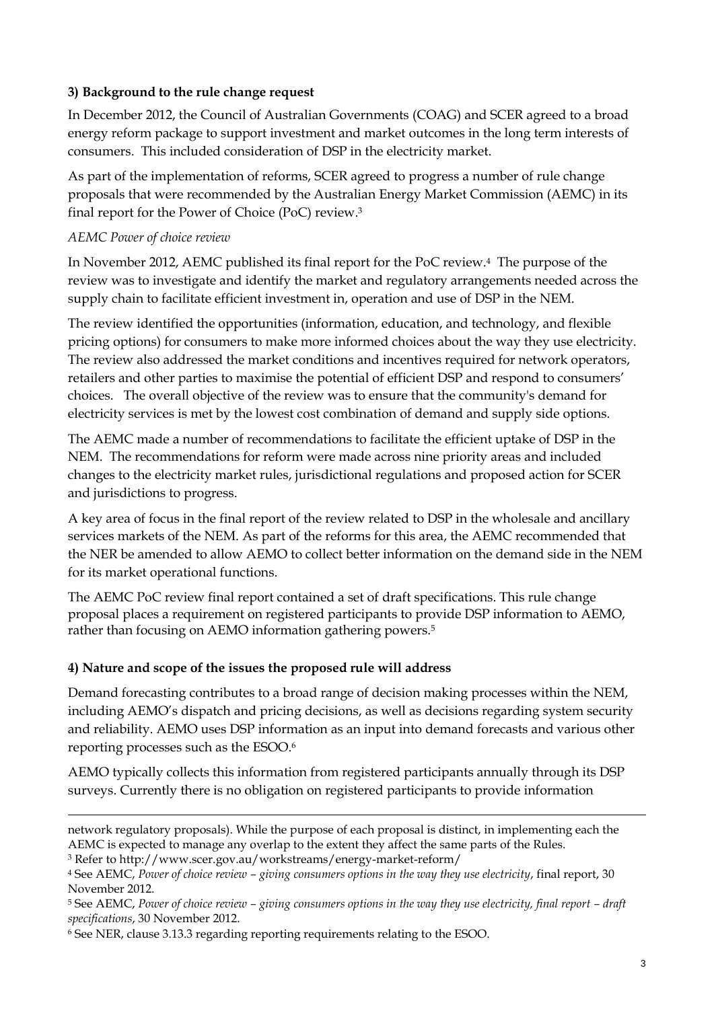#### **3) Background to the rule change request**

In December 2012, the Council of Australian Governments (COAG) and SCER agreed to a broad energy reform package to support investment and market outcomes in the long term interests of consumers. This included consideration of DSP in the electricity market.

As part of the implementation of reforms, SCER agreed to progress a number of rule change proposals that were recommended by the Australian Energy Market Commission (AEMC) in its final report for the Power of Choice (PoC) review.<sup>3</sup>

#### *AEMC Power of choice review*

-

In November 2012, AEMC published its final report for the PoC review.4 The purpose of the review was to investigate and identify the market and regulatory arrangements needed across the supply chain to facilitate efficient investment in, operation and use of DSP in the NEM.

The review identified the opportunities (information, education, and technology, and flexible pricing options) for consumers to make more informed choices about the way they use electricity. The review also addressed the market conditions and incentives required for network operators, retailers and other parties to maximise the potential of efficient DSP and respond to consumers' choices. The overall objective of the review was to ensure that the community's demand for electricity services is met by the lowest cost combination of demand and supply side options.

The AEMC made a number of recommendations to facilitate the efficient uptake of DSP in the NEM. The recommendations for reform were made across nine priority areas and included changes to the electricity market rules, jurisdictional regulations and proposed action for SCER and jurisdictions to progress.

A key area of focus in the final report of the review related to DSP in the wholesale and ancillary services markets of the NEM. As part of the reforms for this area, the AEMC recommended that the NER be amended to allow AEMO to collect better information on the demand side in the NEM for its market operational functions.

The AEMC PoC review final report contained a set of draft specifications. This rule change proposal places a requirement on registered participants to provide DSP information to AEMO, rather than focusing on AEMO information gathering powers.<sup>5</sup>

## **4) Nature and scope of the issues the proposed rule will address**

Demand forecasting contributes to a broad range of decision making processes within the NEM, including AEMO's dispatch and pricing decisions, as well as decisions regarding system security and reliability. AEMO uses DSP information as an input into demand forecasts and various other reporting processes such as the ESOO.<sup>6</sup>

AEMO typically collects this information from registered participants annually through its DSP surveys. Currently there is no obligation on registered participants to provide information

network regulatory proposals). While the purpose of each proposal is distinct, in implementing each the AEMC is expected to manage any overlap to the extent they affect the same parts of the Rules.

<sup>3</sup> Refer to http://www.scer.gov.au/workstreams/energy-market-reform/

<sup>4</sup> See AEMC, *Power of choice review – giving consumers options in the way they use electricity*, final report, 30 November 2012.

<sup>5</sup> See AEMC, *Power of choice review – giving consumers options in the way they use electricity, final report – draft specifications*, 30 November 2012.

<sup>6</sup> See NER, clause 3.13.3 regarding reporting requirements relating to the ESOO.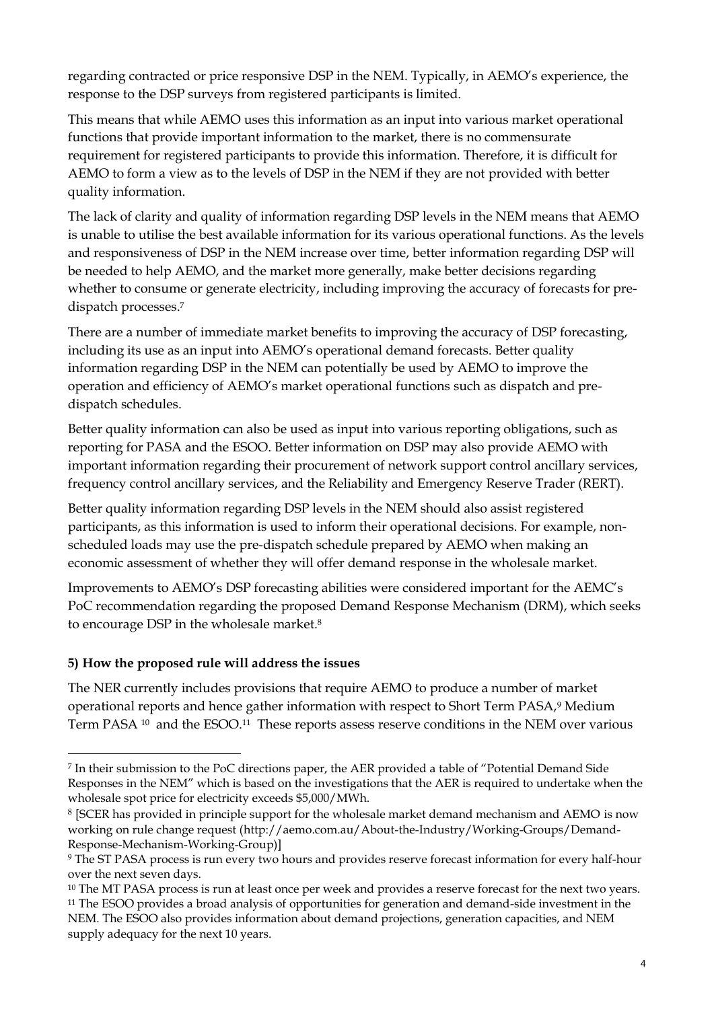regarding contracted or price responsive DSP in the NEM. Typically, in AEMO's experience, the response to the DSP surveys from registered participants is limited.

This means that while AEMO uses this information as an input into various market operational functions that provide important information to the market, there is no commensurate requirement for registered participants to provide this information. Therefore, it is difficult for AEMO to form a view as to the levels of DSP in the NEM if they are not provided with better quality information.

The lack of clarity and quality of information regarding DSP levels in the NEM means that AEMO is unable to utilise the best available information for its various operational functions. As the levels and responsiveness of DSP in the NEM increase over time, better information regarding DSP will be needed to help AEMO, and the market more generally, make better decisions regarding whether to consume or generate electricity, including improving the accuracy of forecasts for predispatch processes.<sup>7</sup>

There are a number of immediate market benefits to improving the accuracy of DSP forecasting, including its use as an input into AEMO's operational demand forecasts. Better quality information regarding DSP in the NEM can potentially be used by AEMO to improve the operation and efficiency of AEMO's market operational functions such as dispatch and predispatch schedules.

Better quality information can also be used as input into various reporting obligations, such as reporting for PASA and the ESOO. Better information on DSP may also provide AEMO with important information regarding their procurement of network support control ancillary services, frequency control ancillary services, and the Reliability and Emergency Reserve Trader (RERT).

Better quality information regarding DSP levels in the NEM should also assist registered participants, as this information is used to inform their operational decisions. For example, nonscheduled loads may use the pre-dispatch schedule prepared by AEMO when making an economic assessment of whether they will offer demand response in the wholesale market.

Improvements to AEMO's DSP forecasting abilities were considered important for the AEMC's PoC recommendation regarding the proposed Demand Response Mechanism (DRM), which seeks to encourage DSP in the wholesale market.<sup>8</sup>

## **5) How the proposed rule will address the issues**

<u>.</u>

The NER currently includes provisions that require AEMO to produce a number of market operational reports and hence gather information with respect to Short Term PASA,<sup>9</sup> Medium Term PASA <sup>10</sup> and the ESOO.<sup>11</sup> These reports assess reserve conditions in the NEM over various

<sup>7</sup> In their submission to the PoC directions paper, the AER provided a table of "Potential Demand Side Responses in the NEM" which is based on the investigations that the AER is required to undertake when the wholesale spot price for electricity exceeds \$5,000/MWh.

<sup>8</sup> [SCER has provided in principle support for the wholesale market demand mechanism and AEMO is now working on rule change request [\(http://aemo.com.au/About-the-Industry/Working-Groups/Demand-](http://aemo.com.au/About-the-Industry/Working-Groups/Demand-Response-Mechanism-Working-Group)[Response-Mechanism-Working-Group\)](http://aemo.com.au/About-the-Industry/Working-Groups/Demand-Response-Mechanism-Working-Group)]

<sup>9</sup> The ST PASA process is run every two hours and provides reserve forecast information for every half-hour over the next seven days.

<sup>&</sup>lt;sup>10</sup> The MT PASA process is run at least once per week and provides a reserve forecast for the next two years. <sup>11</sup> The ESOO provides a broad analysis of opportunities for generation and demand-side investment in the NEM. The ESOO also provides information about demand projections, generation capacities, and NEM supply adequacy for the next 10 years.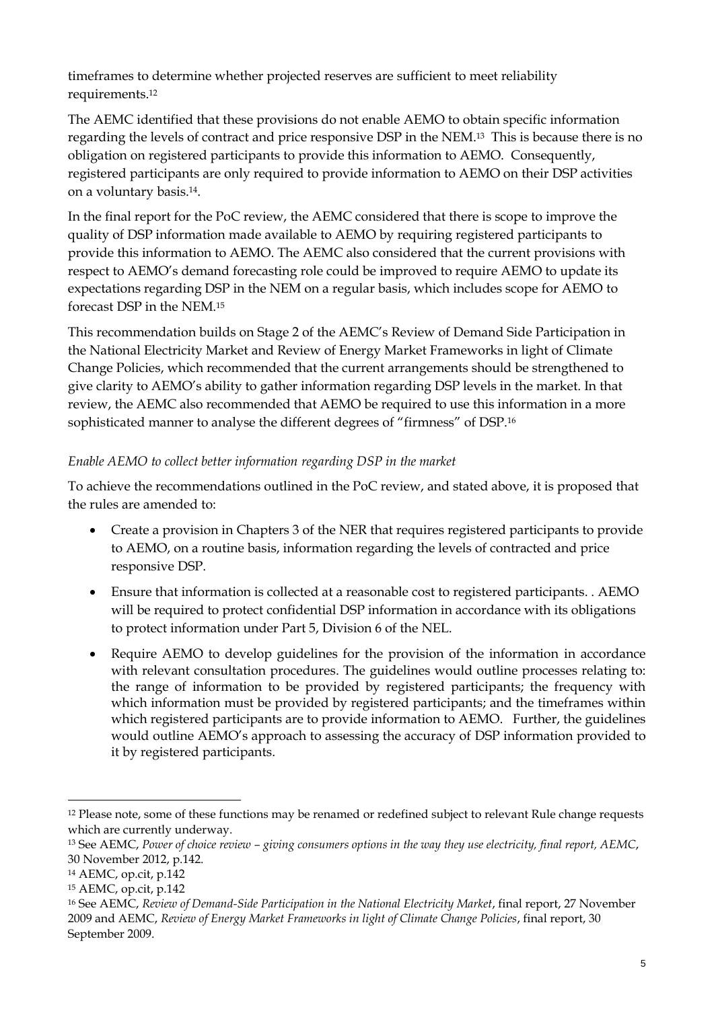timeframes to determine whether projected reserves are sufficient to meet reliability requirements.<sup>12</sup>

The AEMC identified that these provisions do not enable AEMO to obtain specific information regarding the levels of contract and price responsive DSP in the NEM.<sup>13</sup> This is because there is no obligation on registered participants to provide this information to AEMO. Consequently, registered participants are only required to provide information to AEMO on their DSP activities on a voluntary basis.14.

In the final report for the PoC review, the AEMC considered that there is scope to improve the quality of DSP information made available to AEMO by requiring registered participants to provide this information to AEMO. The AEMC also considered that the current provisions with respect to AEMO's demand forecasting role could be improved to require AEMO to update its expectations regarding DSP in the NEM on a regular basis, which includes scope for AEMO to forecast DSP in the NEM.<sup>15</sup>

This recommendation builds on Stage 2 of the AEMC's Review of Demand Side Participation in the National Electricity Market and Review of Energy Market Frameworks in light of Climate Change Policies, which recommended that the current arrangements should be strengthened to give clarity to AEMO's ability to gather information regarding DSP levels in the market. In that review, the AEMC also recommended that AEMO be required to use this information in a more sophisticated manner to analyse the different degrees of "firmness" of DSP.<sup>16</sup>

#### *Enable AEMO to collect better information regarding DSP in the market*

To achieve the recommendations outlined in the PoC review, and stated above, it is proposed that the rules are amended to:

- Create a provision in Chapters 3 of the NER that requires registered participants to provide to AEMO, on a routine basis, information regarding the levels of contracted and price responsive DSP.
- Ensure that information is collected at a reasonable cost to registered participants. . AEMO will be required to protect confidential DSP information in accordance with its obligations to protect information under Part 5, Division 6 of the NEL.
- Require AEMO to develop guidelines for the provision of the information in accordance with relevant consultation procedures. The guidelines would outline processes relating to: the range of information to be provided by registered participants; the frequency with which information must be provided by registered participants; and the timeframes within which registered participants are to provide information to AEMO. Further, the guidelines would outline AEMO's approach to assessing the accuracy of DSP information provided to it by registered participants.

<u>.</u>

<sup>&</sup>lt;sup>12</sup> Please note, some of these functions may be renamed or redefined subject to relevant Rule change requests which are currently underway.

<sup>13</sup> See AEMC, *Power of choice review – giving consumers options in the way they use electricity, final report, AEMC*, 30 November 2012, p.142.

<sup>14</sup> AEMC, op.cit, p.142

<sup>15</sup> AEMC, op.cit, p.142

<sup>16</sup> See AEMC, *Review of Demand-Side Participation in the National Electricity Market*, final report, 27 November 2009 and AEMC, *Review of Energy Market Frameworks in light of Climate Change Policies*, final report, 30 September 2009.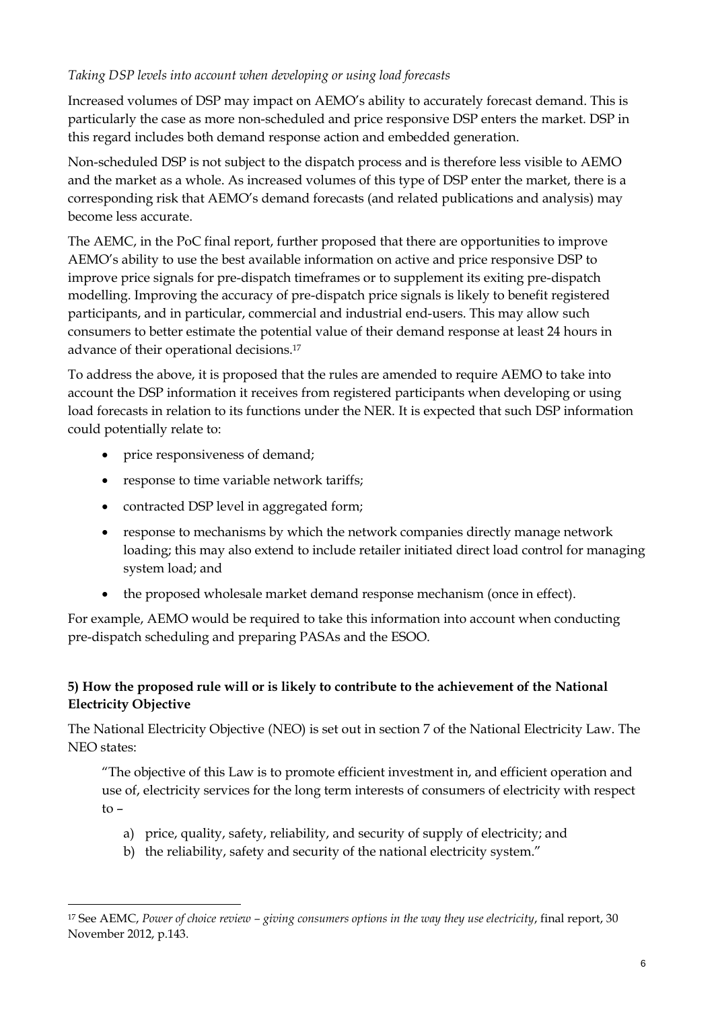#### *Taking DSP levels into account when developing or using load forecasts*

Increased volumes of DSP may impact on AEMO's ability to accurately forecast demand. This is particularly the case as more non-scheduled and price responsive DSP enters the market. DSP in this regard includes both demand response action and embedded generation.

Non-scheduled DSP is not subject to the dispatch process and is therefore less visible to AEMO and the market as a whole. As increased volumes of this type of DSP enter the market, there is a corresponding risk that AEMO's demand forecasts (and related publications and analysis) may become less accurate.

The AEMC, in the PoC final report, further proposed that there are opportunities to improve AEMO's ability to use the best available information on active and price responsive DSP to improve price signals for pre-dispatch timeframes or to supplement its exiting pre-dispatch modelling. Improving the accuracy of pre-dispatch price signals is likely to benefit registered participants, and in particular, commercial and industrial end-users. This may allow such consumers to better estimate the potential value of their demand response at least 24 hours in advance of their operational decisions.<sup>17</sup>

To address the above, it is proposed that the rules are amended to require AEMO to take into account the DSP information it receives from registered participants when developing or using load forecasts in relation to its functions under the NER. It is expected that such DSP information could potentially relate to:

• price responsiveness of demand;

<u>.</u>

- response to time variable network tariffs;
- contracted DSP level in aggregated form;
- response to mechanisms by which the network companies directly manage network loading; this may also extend to include retailer initiated direct load control for managing system load; and
- the proposed wholesale market demand response mechanism (once in effect).

For example, AEMO would be required to take this information into account when conducting pre-dispatch scheduling and preparing PASAs and the ESOO.

## **5) How the proposed rule will or is likely to contribute to the achievement of the National Electricity Objective**

The National Electricity Objective (NEO) is set out in section 7 of the National Electricity Law. The NEO states:

"The objective of this Law is to promote efficient investment in, and efficient operation and use of, electricity services for the long term interests of consumers of electricity with respect to –

- a) price, quality, safety, reliability, and security of supply of electricity; and
- b) the reliability, safety and security of the national electricity system."

<sup>17</sup> See AEMC, *Power of choice review – giving consumers options in the way they use electricity*, final report, 30 November 2012, p.143.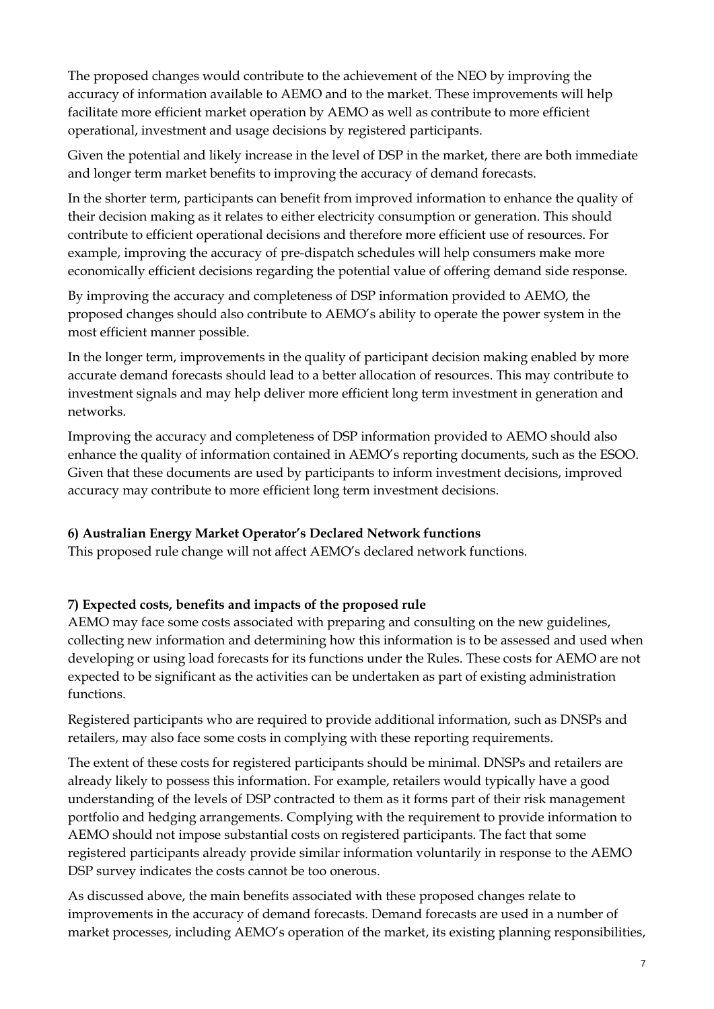The proposed changes would contribute to the achievement of the NEO by improving the accuracy of information available to AEMO and to the market. These improvements will help facilitate more efficient market operation by AEMO as well as contribute to more efficient operational, investment and usage decisions by registered participants.

Given the potential and likely increase in the level of DSP in the market, there are both immediate and longer term market benefits to improving the accuracy of demand forecasts.

In the shorter term, participants can benefit from improved information to enhance the quality of their decision making as it relates to either electricity consumption or generation. This should contribute to efficient operational decisions and therefore more efficient use of resources. For example, improving the accuracy of pre-dispatch schedules will help consumers make more economically efficient decisions regarding the potential value of offering demand side response.

By improving the accuracy and completeness of DSP information provided to AEMO, the proposed changes should also contribute to AEMO's ability to operate the power system in the most efficient manner possible.

In the longer term, improvements in the quality of participant decision making enabled by more accurate demand forecasts should lead to a better allocation of resources. This may contribute to investment signals and may help deliver more efficient long term investment in generation and networks.

Improving the accuracy and completeness of DSP information provided to AEMO should also enhance the quality of information contained in AEMO's reporting documents, such as the ESOO. Given that these documents are used by participants to inform investment decisions, improved accuracy may contribute to more efficient long term investment decisions.

## **6) Australian Energy Market Operator's Declared Network functions**

This proposed rule change will not affect AEMO's declared network functions.

## **7) Expected costs, benefits and impacts of the proposed rule**

AEMO may face some costs associated with preparing and consulting on the new guidelines, collecting new information and determining how this information is to be assessed and used when developing or using load forecasts for its functions under the Rules. These costs for AEMO are not expected to be significant as the activities can be undertaken as part of existing administration functions.

Registered participants who are required to provide additional information, such as DNSPs and retailers, may also face some costs in complying with these reporting requirements.

The extent of these costs for registered participants should be minimal. DNSPs and retailers are already likely to possess this information. For example, retailers would typically have a good understanding of the levels of DSP contracted to them as it forms part of their risk management portfolio and hedging arrangements. Complying with the requirement to provide information to AEMO should not impose substantial costs on registered participants. The fact that some registered participants already provide similar information voluntarily in response to the AEMO DSP survey indicates the costs cannot be too onerous.

As discussed above, the main benefits associated with these proposed changes relate to improvements in the accuracy of demand forecasts. Demand forecasts are used in a number of market processes, including AEMO's operation of the market, its existing planning responsibilities,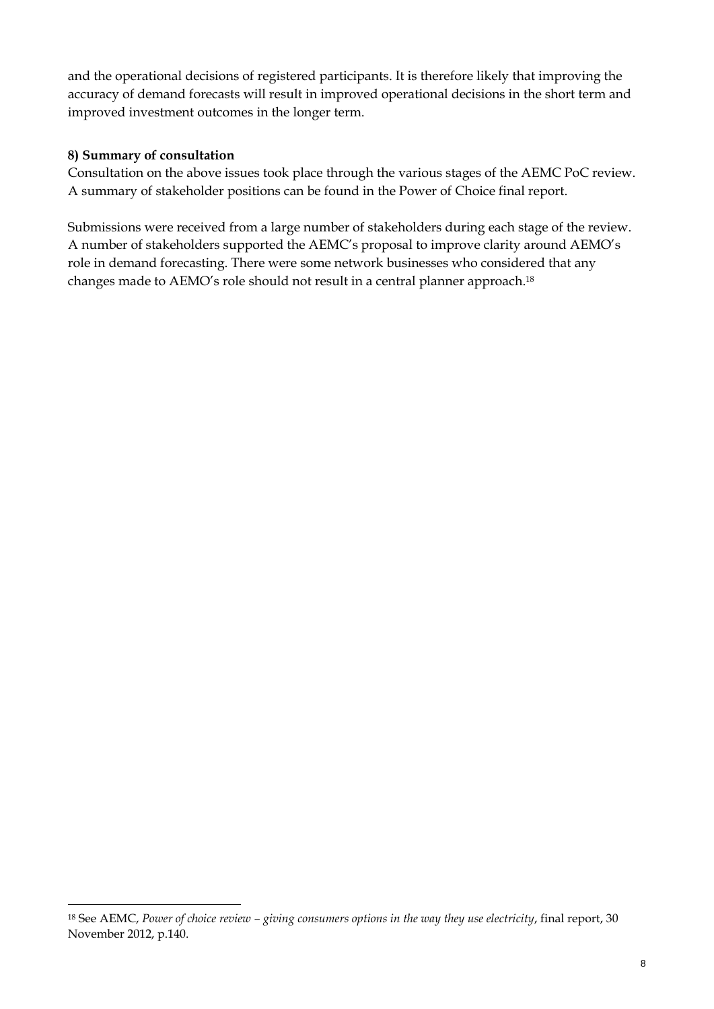and the operational decisions of registered participants. It is therefore likely that improving the accuracy of demand forecasts will result in improved operational decisions in the short term and improved investment outcomes in the longer term.

#### **8) Summary of consultation**

<u>.</u>

Consultation on the above issues took place through the various stages of the AEMC PoC review. A summary of stakeholder positions can be found in the Power of Choice final report.

Submissions were received from a large number of stakeholders during each stage of the review. A number of stakeholders supported the AEMC's proposal to improve clarity around AEMO's role in demand forecasting. There were some network businesses who considered that any changes made to AEMO's role should not result in a central planner approach.<sup>18</sup>

<sup>18</sup> See AEMC, *Power of choice review – giving consumers options in the way they use electricity*, final report, 30 November 2012, p.140.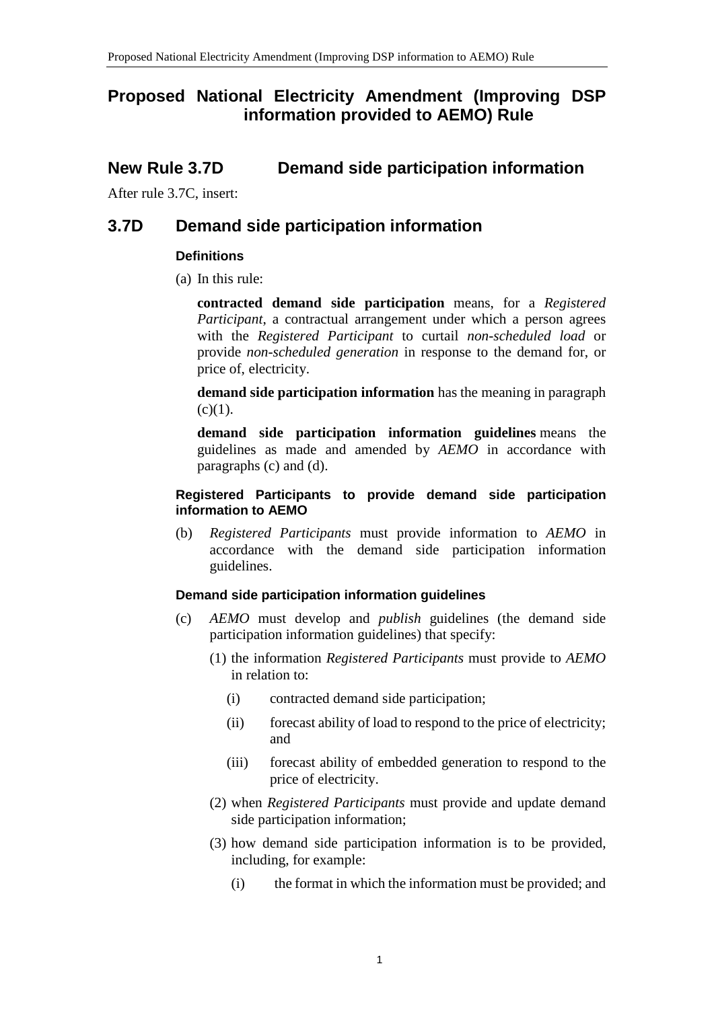# **Proposed National Electricity Amendment (Improving DSP information provided to AEMO) Rule**

## **New Rule 3.7D Demand side participation information**

After rule 3.7C, insert:

## **3.7D Demand side participation information**

#### **Definitions**

(a) In this rule:

**contracted demand side participation** means, for a *Registered Participant*, a contractual arrangement under which a person agrees with the *Registered Participant* to curtail *non-scheduled load* or provide *non-scheduled generation* in response to the demand for, or price of, electricity.

**demand side participation information** has the meaning in paragraph  $(c)(1)$ .

**demand side participation information guidelines** means the guidelines as made and amended by *AEMO* in accordance with paragraphs (c) and (d).

#### **Registered Participants to provide demand side participation information to AEMO**

(b) *Registered Participants* must provide information to *AEMO* in accordance with the demand side participation information guidelines.

#### **Demand side participation information guidelines**

- (c) *AEMO* must develop and *publish* guidelines (the demand side participation information guidelines) that specify:
	- (1) the information *Registered Participants* must provide to *AEMO* in relation to:
		- (i) contracted demand side participation;
		- (ii) forecast ability of load to respond to the price of electricity; and
		- (iii) forecast ability of embedded generation to respond to the price of electricity.
	- (2) when *Registered Participants* must provide and update demand side participation information;
	- (3) how demand side participation information is to be provided, including, for example:
		- (i) the format in which the information must be provided; and